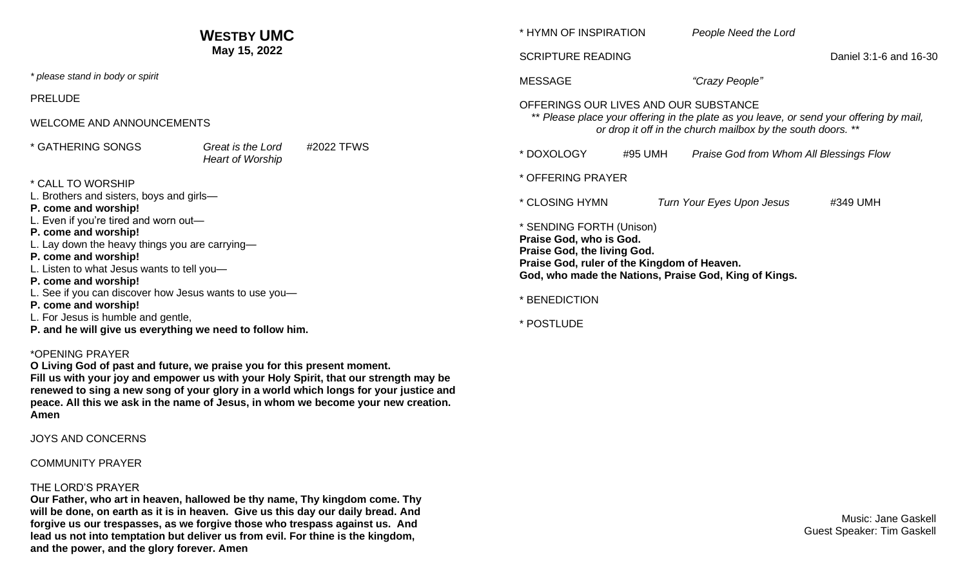|                                                                                                                                                                                                                                                                                                                                                                                                                                                                      | <b>WESTBY UMC</b>                                          | * HYMN OF INSPIRATION                                                                                                                                                                           | People Need the Lord                    |                        |
|----------------------------------------------------------------------------------------------------------------------------------------------------------------------------------------------------------------------------------------------------------------------------------------------------------------------------------------------------------------------------------------------------------------------------------------------------------------------|------------------------------------------------------------|-------------------------------------------------------------------------------------------------------------------------------------------------------------------------------------------------|-----------------------------------------|------------------------|
| May 15, 2022                                                                                                                                                                                                                                                                                                                                                                                                                                                         |                                                            | <b>SCRIPTURE READING</b>                                                                                                                                                                        |                                         | Daniel 3:1-6 and 16-30 |
| * please stand in body or spirit                                                                                                                                                                                                                                                                                                                                                                                                                                     |                                                            | <b>MESSAGE</b>                                                                                                                                                                                  | "Crazy People"                          |                        |
| <b>PRELUDE</b>                                                                                                                                                                                                                                                                                                                                                                                                                                                       |                                                            | OFFERINGS OUR LIVES AND OUR SUBSTANCE<br>** Please place your offering in the plate as you leave, or send your offering by mail,<br>or drop it off in the church mailbox by the south doors. ** |                                         |                        |
| WELCOME AND ANNOUNCEMENTS                                                                                                                                                                                                                                                                                                                                                                                                                                            |                                                            |                                                                                                                                                                                                 |                                         |                        |
| * GATHERING SONGS                                                                                                                                                                                                                                                                                                                                                                                                                                                    | #2022 TFWS<br>Great is the Lord<br><b>Heart of Worship</b> | * DOXOLOGY<br>#95 UMH                                                                                                                                                                           | Praise God from Whom All Blessings Flow |                        |
| * CALL TO WORSHIP                                                                                                                                                                                                                                                                                                                                                                                                                                                    |                                                            | * OFFERING PRAYER                                                                                                                                                                               |                                         |                        |
| L. Brothers and sisters, boys and girls-<br>P. come and worship!<br>. Even if you're tired and worn out-<br>P. come and worship!<br>L. Lay down the heavy things you are carrying-<br>P. come and worship!<br>L. Listen to what Jesus wants to tell you-<br>P. come and worship!<br>L. See if you can discover how Jesus wants to use you-<br>P. come and worship!<br>L. For Jesus is humble and gentle,<br>P. and he will give us everything we need to follow him. |                                                            | * CLOSING HYMN                                                                                                                                                                                  | Turn Your Eyes Upon Jesus               | #349 UMH               |
|                                                                                                                                                                                                                                                                                                                                                                                                                                                                      |                                                            | * SENDING FORTH (Unison)<br>Praise God, who is God.<br>Praise God, the living God.<br>Praise God, ruler of the Kingdom of Heaven.<br>God, who made the Nations, Praise God, King of Kings.      |                                         |                        |
|                                                                                                                                                                                                                                                                                                                                                                                                                                                                      |                                                            | * BENEDICTION                                                                                                                                                                                   |                                         |                        |
|                                                                                                                                                                                                                                                                                                                                                                                                                                                                      |                                                            | * POSTLUDE                                                                                                                                                                                      |                                         |                        |
| *OPENING PRAYER                                                                                                                                                                                                                                                                                                                                                                                                                                                      |                                                            |                                                                                                                                                                                                 |                                         |                        |

**Fill us with your joy and empower us with your Holy Spirit, that our strength may be renewed to sing a new song of your glory in a world which longs for your justice and** 

**peace. All this we ask in the name of Jesus, in whom we become your new creation. Amen**

JOYS AND CONCERNS

COMMUNITY PRAYER

### THE LORD'S PRAYER

**Our Father, who art in heaven, hallowed be thy name, Thy kingdom come. Thy will be done, on earth as it is in heaven. Give us this day our daily bread. And forgive us our trespasses, as we forgive those who trespass against us. And lead us not into temptation but deliver us from evil. For thine is the kingdom, and the power, and the glory forever. Amen**

**O Living God of past and future, we praise you for this present moment.** 

Music: Jane Gaskell Guest Speaker: Tim Gaskell